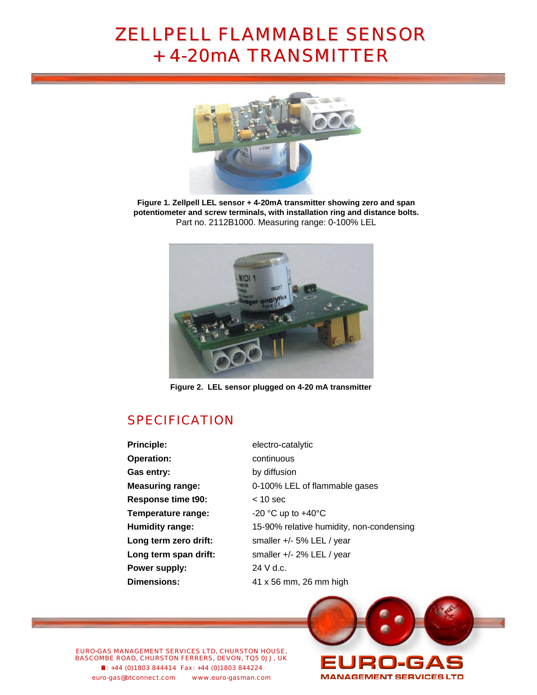### **ZELLPELL FLAMMABLE SENSOR** + 4-20mA TRANSMITTER



**Figure 1. Zellpell LEL sensor + 4-20mA transmitter showing zero and span potentiometer and screw terminals, with installation ring and distance bolts.**  Part no. 2112B1000. Measuring range: 0-100% LEL



**Figure 2. LEL sensor plugged on 4-20 mA transmitter**

### **SPECIFICATION**

**Principle:** electro-catalytic **Operation: COPERTIAN CONTINUOUS** Gas entry: by diffusion **Response time t90:** < 10 sec **Temperature range:**  $-20 \degree C$  up to  $+40 \degree C$ Long term zero drift: smaller +/- 5% LEL / year **Long term span drift:** smaller +/- 2% LEL / year **Power supply:** 24 V d.c. **Dimensions:** 41 x 56 mm, 26 mm high

**Measuring range:** 0-100% LEL of flammable gases **Humidity range:** 15-90% relative humidity, non-condensing

EURO-GAS MANAGEMENT SERVICES LTD, CHURSTON HOUSE, BASCOMBE ROAD, CHURSTON FERRERS, DEVON, TQ5 0JJ, UK «: +44 (0)1803 844414 Fax: +44 (0)1803 844224 euro-gas@btconnect.com www.euro-gasman.com

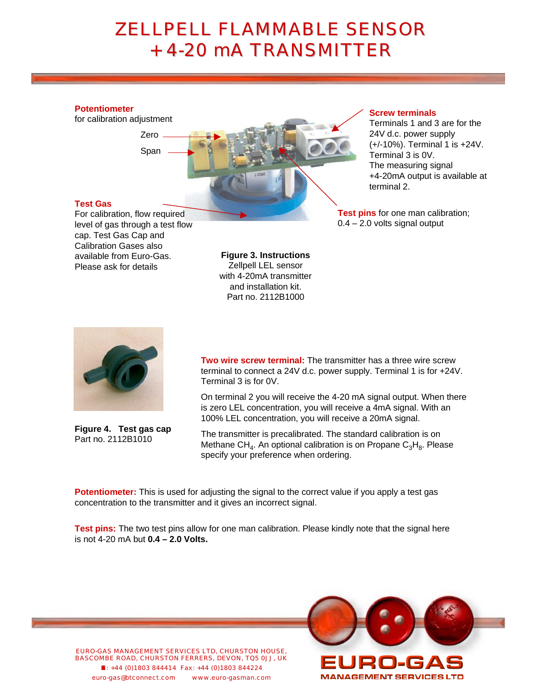# **ZELLPELL FLAMMABLE SENSOR** + 4-20 mA TRANSMITTER

#### **Potentiometer**

for calibration adjustment

Span



#### **Screw terminals**

Terminals 1 and 3 are for the 24V d.c. power supply (+/-10%). Terminal 1 is +24V. Terminal 3 is 0V. The measuring signal +4-20mA output is available at terminal 2.

**Test pins** for one man calibration; 0.4 – 2.0 volts signal output

### **Test Gas**

For calibration, flow required level of gas through a test flow cap. Test Gas Cap and Calibration Gases also available from Euro-Gas. Please ask for details

**Figure 3. Instructions** Zellpell LEL sensor with 4-20mA transmitter and installation kit. Part no. 2112B1000



**Figure 4. Test gas cap** Part no. 2112B1010

**Two wire screw terminal:** The transmitter has a three wire screw terminal to connect a 24V d.c. power supply. Terminal 1 is for +24V. Terminal 3 is for 0V.

On terminal 2 you will receive the 4-20 mA signal output. When there is zero LEL concentration, you will receive a 4mA signal. With an 100% LEL concentration, you will receive a 20mA signal.

The transmitter is precalibrated. The standard calibration is on Methane CH<sub>4</sub>. An optional calibration is on Propane C<sub>3</sub>H<sub>8</sub>. Please specify your preference when ordering.

**Potentiometer:** This is used for adjusting the signal to the correct value if you apply a test gas concentration to the transmitter and it gives an incorrect signal.

**Test pins:** The two test pins allow for one man calibration. Please kindly note that the signal here is not 4-20 mA but **0.4 – 2.0 Volts.** 

EURO-GAS MANAGEMENT SERVICES LTD, CHURSTON HOUSE, BASCOMBE ROAD, CHURSTON FERRERS, DEVON, TQ5 0JJ, UK «: +44 (0)1803 844414 Fax: +44 (0)1803 844224 euro-gas@btconnect.com www.euro-gasman.com